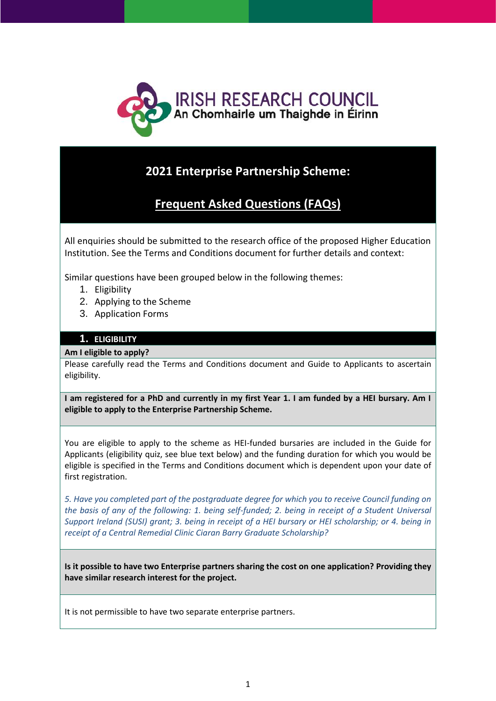

# **2021 Enterprise Partnership Scheme:**

# **Frequent Asked Questions (FAQs)**

All enquiries should be submitted to the research office of the proposed Higher Education Institution. See the Terms and Conditions document for further details and context:

Similar questions have been grouped below in the following themes:

- 1. Eligibility
- 2. Applying to the Scheme
- 3. Application Forms

# **1. ELIGIBILITY**

## **Am I eligible to apply?**

Please carefully read the Terms and Conditions document and Guide to Applicants to ascertain eligibility.

**I am registered for a PhD and currently in my first Year 1. I am funded by a HEI bursary. Am I eligible to apply to the Enterprise Partnership Scheme.**

You are eligible to apply to the scheme as HEI-funded bursaries are included in the Guide for Applicants (eligibility quiz, see blue text below) and the funding duration for which you would be eligible is specified in the Terms and Conditions document which is dependent upon your date of first registration.

*5. Have you completed part of the postgraduate degree for which you to receive Council funding on the basis of any of the following: 1. being self-funded; 2. being in receipt of a Student Universal Support Ireland (SUSI) grant; 3. being in receipt of a HEI bursary or HEI scholarship; or 4. being in receipt of a Central Remedial Clinic Ciaran Barry Graduate Scholarship?*

**Is it possible to have two Enterprise partners sharing the cost on one application? Providing they have similar research interest for the project.**

It is not permissible to have two separate enterprise partners.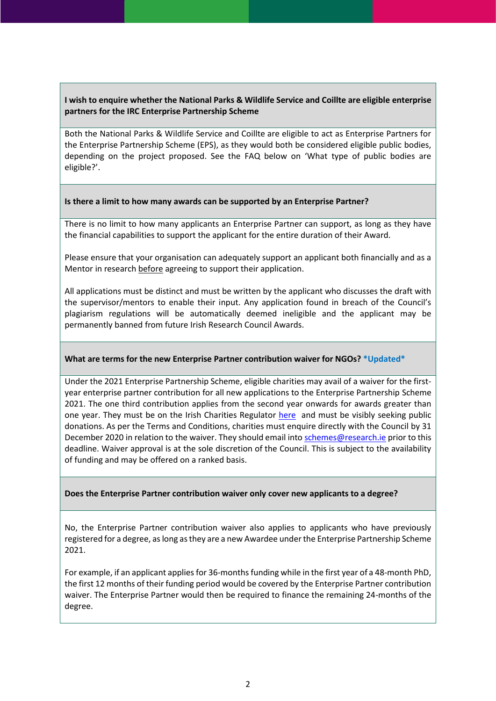# **I wish to enquire whether the National Parks & Wildlife Service and Coillte are eligible enterprise partners for the IRC Enterprise Partnership Scheme**

Both the National Parks & Wildlife Service and Coillte are eligible to act as Enterprise Partners for the Enterprise Partnership Scheme (EPS), as they would both be considered eligible public bodies, depending on the project proposed. See the FAQ below on 'What type of public bodies are eligible?'.

## **Is there a limit to how many awards can be supported by an Enterprise Partner?**

There is no limit to how many applicants an Enterprise Partner can support, as long as they have the financial capabilities to support the applicant for the entire duration of their Award.

Please ensure that your organisation can adequately support an applicant both financially and as a Mentor in research before agreeing to support their application.

All applications must be distinct and must be written by the applicant who discusses the draft with the supervisor/mentors to enable their input. Any application found in breach of the Council's plagiarism regulations will be automatically deemed ineligible and the applicant may be permanently banned from future Irish Research Council Awards.

## **What are terms for the new Enterprise Partner contribution waiver for NGOs? \*Updated\***

Under the 2021 Enterprise Partnership Scheme, eligible charities may avail of a waiver for the firstyear enterprise partner contribution for all new applications to the Enterprise Partnership Scheme 2021. The one third contribution applies from the second year onwards for awards greater than one year. They must be on the Irish Charities Regulator [here](https://www.charitiesregulator.ie/en) and must be visibly seeking public donations. As per the Terms and Conditions, charities must enquire directly with the Council by 31 December 2020 in relation to the waiver. They should email int[o schemes@research.ie](mailto:schemes@research.ie) prior to this deadline. Waiver approval is at the sole discretion of the Council. This is subject to the availability of funding and may be offered on a ranked basis.

## **Does the Enterprise Partner contribution waiver only cover new applicants to a degree?**

No, the Enterprise Partner contribution waiver also applies to applicants who have previously registered for a degree, as long as they are a new Awardee under the Enterprise Partnership Scheme 2021.

For example, if an applicant applies for 36-months funding while in the first year of a 48-month PhD, the first 12 months of their funding period would be covered by the Enterprise Partner contribution waiver. The Enterprise Partner would then be required to finance the remaining 24-months of the degree.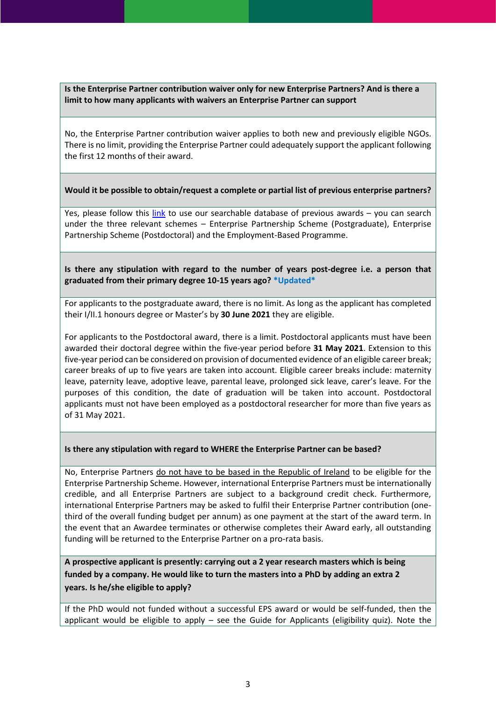**Is the Enterprise Partner contribution waiver only for new Enterprise Partners? And is there a limit to how many applicants with waivers an Enterprise Partner can support**

No, the Enterprise Partner contribution waiver applies to both new and previously eligible NGOs. There is no limit, providing the Enterprise Partner could adequately support the applicant following the first 12 months of their award.

## **Would it be possible to obtain/request a complete or partial list of previous enterprise partners?**

Yes, please follow this  $\frac{\text{link}}{\text{link}}$  to use our searchable database of previous awards – you can search under the three relevant schemes – Enterprise Partnership Scheme (Postgraduate), Enterprise Partnership Scheme (Postdoctoral) and the Employment-Based Programme.

**Is there any stipulation with regard to the number of years post-degree i.e. a person that graduated from their primary degree 10-15 years ago? \*Updated\***

For applicants to the postgraduate award, there is no limit. As long as the applicant has completed their I/II.1 honours degree or Master's by **30 June 2021** they are eligible.

For applicants to the Postdoctoral award, there is a limit. Postdoctoral applicants must have been awarded their doctoral degree within the five-year period before **31 May 2021**. Extension to this five-year period can be considered on provision of documented evidence of an eligible career break; career breaks of up to five years are taken into account. Eligible career breaks include: maternity leave, paternity leave, adoptive leave, parental leave, prolonged sick leave, carer's leave. For the purposes of this condition, the date of graduation will be taken into account. Postdoctoral applicants must not have been employed as a postdoctoral researcher for more than five years as of 31 May 2021.

#### **Is there any stipulation with regard to WHERE the Enterprise Partner can be based?**

No, Enterprise Partners do not have to be based in the Republic of Ireland to be eligible for the Enterprise Partnership Scheme. However, international Enterprise Partners must be internationally credible, and all Enterprise Partners are subject to a background credit check. Furthermore, international Enterprise Partners may be asked to fulfil their Enterprise Partner contribution (onethird of the overall funding budget per annum) as one payment at the start of the award term. In the event that an Awardee terminates or otherwise completes their Award early, all outstanding funding will be returned to the Enterprise Partner on a pro-rata basis.

**A prospective applicant is presently: carrying out a 2 year research masters which is being funded by a company. He would like to turn the masters into a PhD by adding an extra 2 years. Is he/she eligible to apply?**

If the PhD would not funded without a successful EPS award or would be self-funded, then the applicant would be eligible to apply – see the Guide for Applicants (eligibility quiz). Note the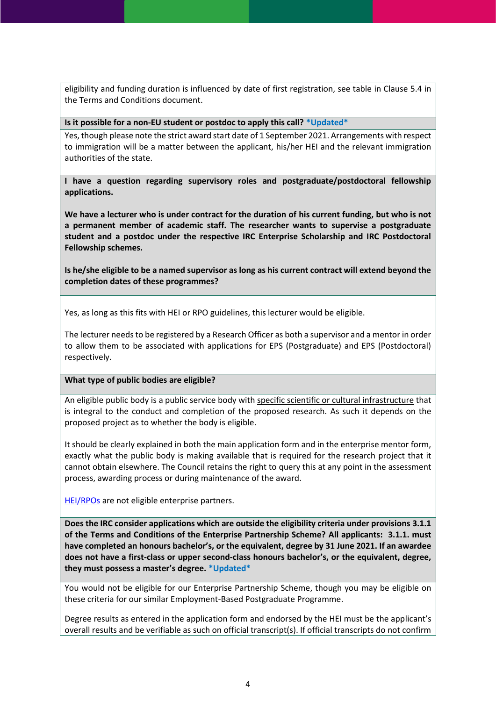eligibility and funding duration is influenced by date of first registration, see table in Clause 5.4 in the Terms and Conditions document.

#### **Is it possible for a non-EU student or postdoc to apply this call? \*Updated\***

Yes, though please note the strict award start date of 1 September 2021. Arrangements with respect to immigration will be a matter between the applicant, his/her HEI and the relevant immigration authorities of the state.

**I have a question regarding supervisory roles and postgraduate/postdoctoral fellowship applications.** 

**We have a lecturer who is under contract for the duration of his current funding, but who is not a permanent member of academic staff. The researcher wants to supervise a postgraduate student and a postdoc under the respective IRC Enterprise Scholarship and IRC Postdoctoral Fellowship schemes.** 

**Is he/she eligible to be a named supervisor as long as his current contract will extend beyond the completion dates of these programmes?**

Yes, as long as this fits with HEI or RPO guidelines, this lecturer would be eligible.

The lecturer needs to be registered by a Research Officer as both a supervisor and a mentor in order to allow them to be associated with applications for EPS (Postgraduate) and EPS (Postdoctoral) respectively.

## **What type of public bodies are eligible?**

An eligible public body is a public service body with specific scientific or cultural infrastructure that is integral to the conduct and completion of the proposed research. As such it depends on the proposed project as to whether the body is eligible.

It should be clearly explained in both the main application form and in the enterprise mentor form, exactly what the public body is making available that is required for the research project that it cannot obtain elsewhere. The Council retains the right to query this at any point in the assessment process, awarding process or during maintenance of the award.

[HEI/RPOs](http://research.ie/funding/eligible-higher-education-institutions-and-research-performing-organisations/) are not eligible enterprise partners.

**Does the IRC consider applications which are outside the eligibility criteria under provisions 3.1.1 of the Terms and Conditions of the Enterprise Partnership Scheme? All applicants: 3.1.1. must have completed an honours bachelor's, or the equivalent, degree by 31 June 2021. If an awardee does not have a first-class or upper second-class honours bachelor's, or the equivalent, degree, they must possess a master's degree. \*Updated\***

You would not be eligible for our Enterprise Partnership Scheme, though you may be eligible on these criteria for our similar Employment-Based Postgraduate Programme.

Degree results as entered in the application form and endorsed by the HEI must be the applicant's overall results and be verifiable as such on official transcript(s). If official transcripts do not confirm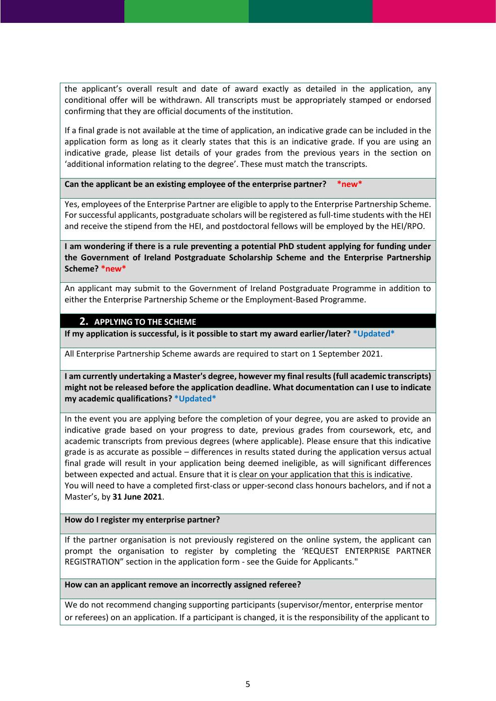the applicant's overall result and date of award exactly as detailed in the application, any conditional offer will be withdrawn. All transcripts must be appropriately stamped or endorsed confirming that they are official documents of the institution.

If a final grade is not available at the time of application, an indicative grade can be included in the application form as long as it clearly states that this is an indicative grade. If you are using an indicative grade, please list details of your grades from the previous years in the section on 'additional information relating to the degree'. These must match the transcripts.

**Can the applicant be an existing employee of the enterprise partner? \*new\***

Yes, employees of the Enterprise Partner are eligible to apply to the Enterprise Partnership Scheme. For successful applicants, postgraduate scholars will be registered as full-time students with the HEI and receive the stipend from the HEI, and postdoctoral fellows will be employed by the HEI/RPO.

**I am wondering if there is a rule preventing a potential PhD student applying for funding under the Government of Ireland Postgraduate Scholarship Scheme and the Enterprise Partnership Scheme? \*new\***

An applicant may submit to the Government of Ireland Postgraduate Programme in addition to either the Enterprise Partnership Scheme or the Employment-Based Programme.

# **2. APPLYING TO THE SCHEME**

**If my application is successful, is it possible to start my award earlier/later? \*Updated\***

All Enterprise Partnership Scheme awards are required to start on 1 September 2021.

**I am currently undertaking a Master's degree, however my final results (full academic transcripts) might not be released before the application deadline. What documentation can I use to indicate my academic qualifications? \*Updated\***

In the event you are applying before the completion of your degree, you are asked to provide an indicative grade based on your progress to date, previous grades from coursework, etc, and academic transcripts from previous degrees (where applicable). Please ensure that this indicative grade is as accurate as possible – differences in results stated during the application versus actual final grade will result in your application being deemed ineligible, as will significant differences between expected and actual. Ensure that it is clear on your application that this is indicative. You will need to have a completed first-class or upper-second class honours bachelors, and if not a Master's, by **31 June 2021**.

#### **How do I register my enterprise partner?**

If the partner organisation is not previously registered on the online system, the applicant can prompt the organisation to register by completing the 'REQUEST ENTERPRISE PARTNER REGISTRATION" section in the application form - see the Guide for Applicants."

#### **How can an applicant remove an incorrectly assigned referee?**

We do not recommend changing supporting participants (supervisor/mentor, enterprise mentor or referees) on an application. If a participant is changed, it is the responsibility of the applicant to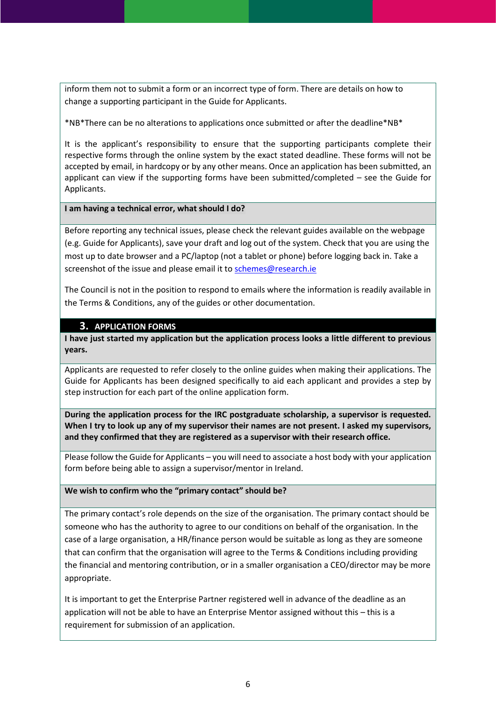inform them not to submit a form or an incorrect type of form. There are details on how to change a supporting participant in the Guide for Applicants.

\*NB\*There can be no alterations to applications once submitted or after the deadline\*NB\*

It is the applicant's responsibility to ensure that the supporting participants complete their respective forms through the online system by the exact stated deadline. These forms will not be accepted by email, in hardcopy or by any other means. Once an application has been submitted, an applicant can view if the supporting forms have been submitted/completed – see the Guide for Applicants.

## **I am having a technical error, what should I do?**

Before reporting any technical issues, please check the relevant guides available on the webpage (e.g. Guide for Applicants), save your draft and log out of the system. Check that you are using the most up to date browser and a PC/laptop (not a tablet or phone) before logging back in. Take a screenshot of the issue and please email it t[o schemes@research.ie](mailto:schemes@research.ie)

The Council is not in the position to respond to emails where the information is readily available in the Terms & Conditions, any of the guides or other documentation.

# **3. APPLICATION FORMS**

**I have just started my application but the application process looks a little different to previous years.**

Applicants are requested to refer closely to the online guides when making their applications. The Guide for Applicants has been designed specifically to aid each applicant and provides a step by step instruction for each part of the online application form.

**During the application process for the IRC postgraduate scholarship, a supervisor is requested. When I try to look up any of my supervisor their names are not present. I asked my supervisors, and they confirmed that they are registered as a supervisor with their research office.**

Please follow the Guide for Applicants – you will need to associate a host body with your application form before being able to assign a supervisor/mentor in Ireland.

## **We wish to confirm who the "primary contact" should be?**

The primary contact's role depends on the size of the organisation. The primary contact should be someone who has the authority to agree to our conditions on behalf of the organisation. In the case of a large organisation, a HR/finance person would be suitable as long as they are someone that can confirm that the organisation will agree to the Terms & Conditions including providing the financial and mentoring contribution, or in a smaller organisation a CEO/director may be more appropriate.

It is important to get the Enterprise Partner registered well in advance of the deadline as an application will not be able to have an Enterprise Mentor assigned without this – this is a requirement for submission of an application.